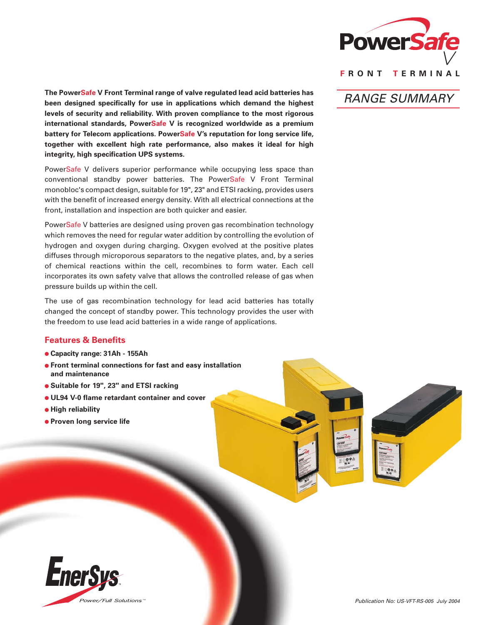

*RANGE SUMMARY*

**The PowerSafe V Front Terminal range of valve regulated lead acid batteries has been designed specifically for use in applications which demand the highest levels of security and reliability. With proven compliance to the most rigorous international standards, PowerSafe V is recognized worldwide as a premium battery for Telecom applications. PowerSafe V's reputation for long service life, together with excellent high rate performance, also makes it ideal for high integrity, high specification UPS systems.**

PowerSafe V delivers superior performance while occupying less space than conventional standby power batteries. The PowerSafe V Front Terminal monobloc's compact design, suitable for 19", 23" and ETSI racking, provides users with the benefit of increased energy density. With all electrical connections at the front, installation and inspection are both quicker and easier.

PowerSafe V batteries are designed using proven gas recombination technology which removes the need for regular water addition by controlling the evolution of hydrogen and oxygen during charging. Oxygen evolved at the positive plates diffuses through microporous separators to the negative plates, and, by a series of chemical reactions within the cell, recombines to form water. Each cell incorporates its own safety valve that allows the controlled release of gas when pressure builds up within the cell.

The use of gas recombination technology for lead acid batteries has totally changed the concept of standby power. This technology provides the user with the freedom to use lead acid batteries in a wide range of applications.

## **Features & Benefits**

- **Capacity range: 31Ah 155Ah**
- **Front terminal connections for fast and easy installation and maintenance**
- **Suitable for 19", 23" and ETSI racking**
- **UL94 V-0 flame retardant container and cover**
- $\bullet$  **High reliability**
- **Proven long service life**